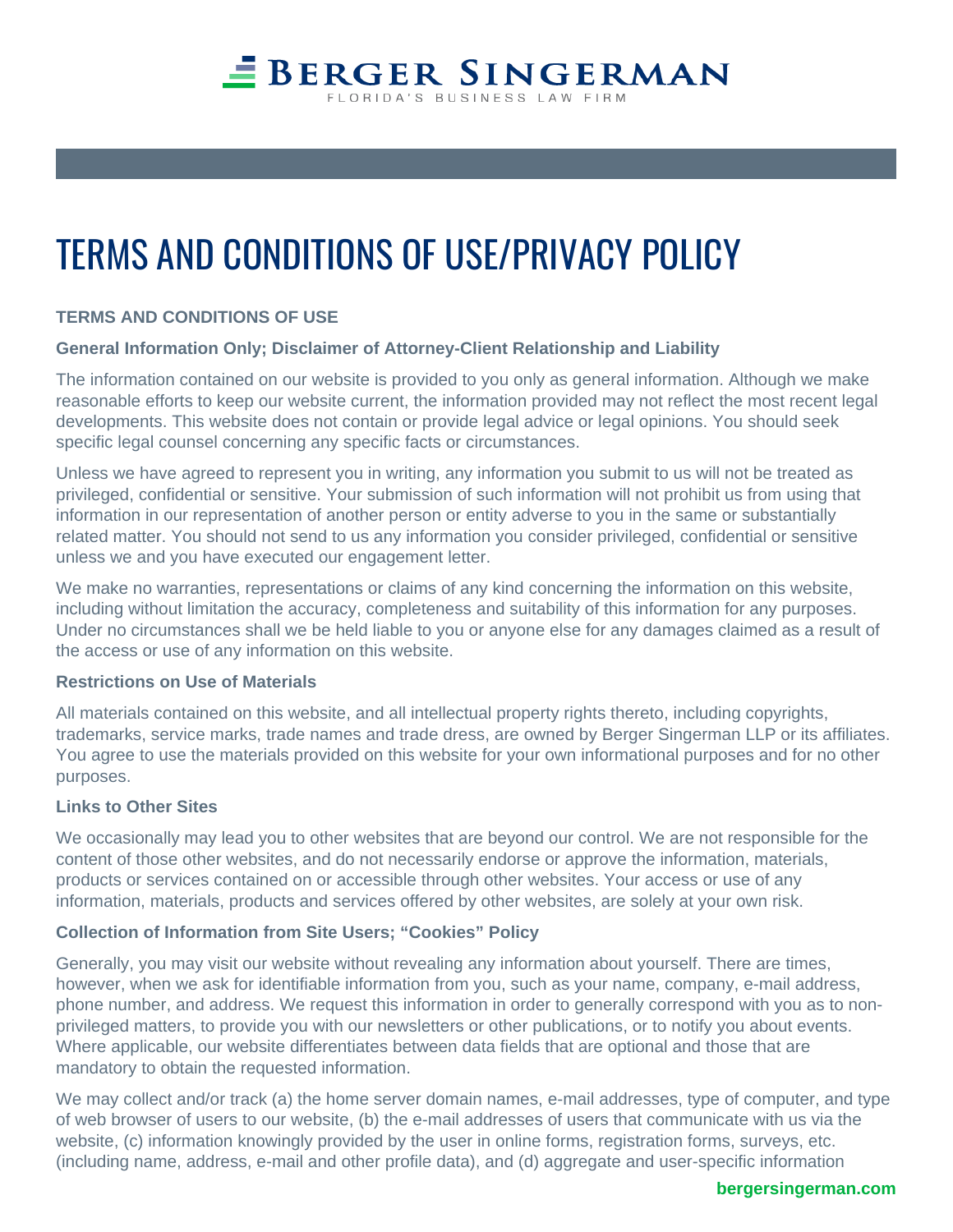## **EBERGER SINGERMAN** LORIDA'S BUSINESS LAW FIRM

# TERMS AND CONDITIONS OF USE/PRIVACY POLICY

### **TERMS AND CONDITIONS OF USE**

#### **General Information Only; Disclaimer of Attorney-Client Relationship and Liability**

The information contained on our website is provided to you only as general information. Although we make reasonable efforts to keep our website current, the information provided may not reflect the most recent legal developments. This website does not contain or provide legal advice or legal opinions. You should seek specific legal counsel concerning any specific facts or circumstances.

Unless we have agreed to represent you in writing, any information you submit to us will not be treated as privileged, confidential or sensitive. Your submission of such information will not prohibit us from using that information in our representation of another person or entity adverse to you in the same or substantially related matter. You should not send to us any information you consider privileged, confidential or sensitive unless we and you have executed our engagement letter.

We make no warranties, representations or claims of any kind concerning the information on this website, including without limitation the accuracy, completeness and suitability of this information for any purposes. Under no circumstances shall we be held liable to you or anyone else for any damages claimed as a result of the access or use of any information on this website.

#### **Restrictions on Use of Materials**

All materials contained on this website, and all intellectual property rights thereto, including copyrights, trademarks, service marks, trade names and trade dress, are owned by Berger Singerman LLP or its affiliates. You agree to use the materials provided on this website for your own informational purposes and for no other purposes.

#### **Links to Other Sites**

We occasionally may lead you to other websites that are beyond our control. We are not responsible for the content of those other websites, and do not necessarily endorse or approve the information, materials, products or services contained on or accessible through other websites. Your access or use of any information, materials, products and services offered by other websites, are solely at your own risk.

#### **Collection of Information from Site Users; "Cookies" Policy**

Generally, you may visit our website without revealing any information about yourself. There are times, however, when we ask for identifiable information from you, such as your name, company, e-mail address, phone number, and address. We request this information in order to generally correspond with you as to nonprivileged matters, to provide you with our newsletters or other publications, or to notify you about events. Where applicable, our website differentiates between data fields that are optional and those that are mandatory to obtain the requested information.

We may collect and/or track (a) the home server domain names, e-mail addresses, type of computer, and type of web browser of users to our website, (b) the e-mail addresses of users that communicate with us via the website, (c) information knowingly provided by the user in online forms, registration forms, surveys, etc. (including name, address, e-mail and other profile data), and (d) aggregate and user-specific information